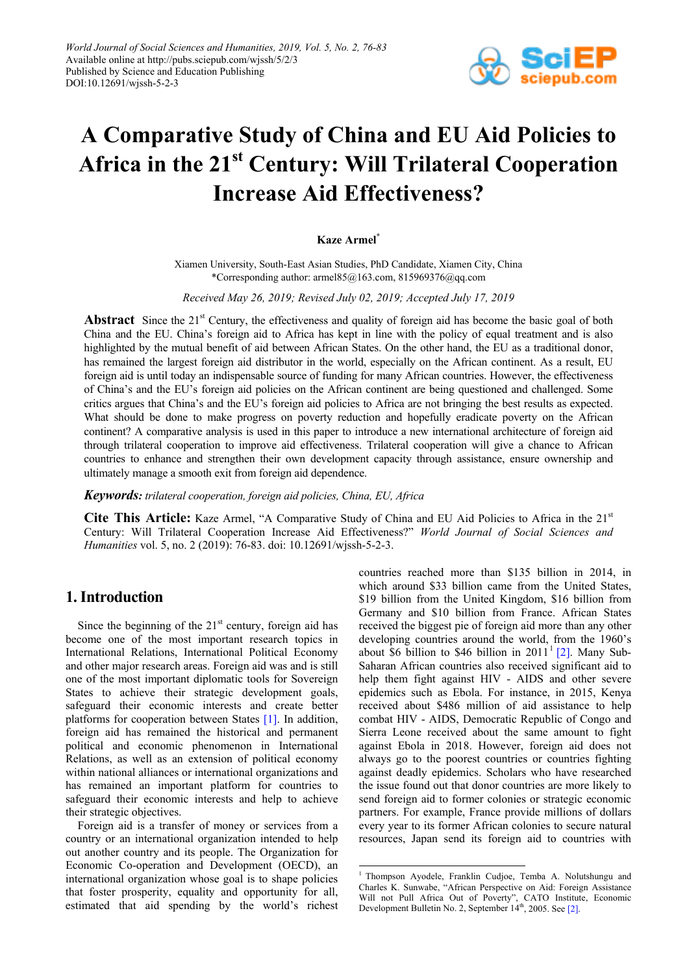

# **A Comparative Study of China and EU Aid Policies to Africa in the 21st Century: Will Trilateral Cooperation Increase Aid Effectiveness?**

#### **Kaze Armel\***

Xiamen University, South-East Asian Studies, PhD Candidate, Xiamen City, China \*Corresponding author: armel85@163.com, 815969376@qq.com

*Received May 26, 2019; Revised July 02, 2019; Accepted July 17, 2019*

**Abstract** Since the 21<sup>st</sup> Century, the effectiveness and quality of foreign aid has become the basic goal of both China and the EU. China's foreign aid to Africa has kept in line with the policy of equal treatment and is also highlighted by the mutual benefit of aid between African States. On the other hand, the EU as a traditional donor, has remained the largest foreign aid distributor in the world, especially on the African continent. As a result, EU foreign aid is until today an indispensable source of funding for many African countries. However, the effectiveness of China's and the EU's foreign aid policies on the African continent are being questioned and challenged. Some critics argues that China's and the EU's foreign aid policies to Africa are not bringing the best results as expected. What should be done to make progress on poverty reduction and hopefully eradicate poverty on the African continent? A comparative analysis is used in this paper to introduce a new international architecture of foreign aid through trilateral cooperation to improve aid effectiveness. Trilateral cooperation will give a chance to African countries to enhance and strengthen their own development capacity through assistance, ensure ownership and ultimately manage a smooth exit from foreign aid dependence.

*Keywords: trilateral cooperation, foreign aid policies, China, EU, Africa*

**Cite This Article:** Kaze Armel, "A Comparative Study of China and EU Aid Policies to Africa in the 21st Century: Will Trilateral Cooperation Increase Aid Effectiveness?" *World Journal of Social Sciences and Humanities* vol. 5, no. 2 (2019): 76-83. doi: 10.12691/wjssh-5-2-3.

.<br>-

## **1. Introduction**

Since the beginning of the  $21<sup>st</sup>$  century, foreign aid has become one of the most important research topics in International Relations, International Political Economy and other major research areas. Foreign aid was and is still one of the most important diplomatic tools for Sovereign States to achieve their strategic development goals, safeguard their economic interests and create better platforms for cooperation between States [\[1\].](#page-6-0) In addition, foreign aid has remained the historical and permanent political and economic phenomenon in International Relations, as well as an extension of political economy within national alliances or international organizations and has remained an important platform for countries to safeguard their economic interests and help to achieve their strategic objectives.

<span id="page-0-0"></span>Foreign aid is a transfer of money or services from a country or an international organization intended to help out another country and its people. The Organization for Economic Co-operation and Development (OECD), an international organization whose goal is to shape policies that foster prosperity, equality and opportunity for all, estimated that aid spending by the world's richest

countries reached more than \$135 billion in 2014, in which around \$33 billion came from the United States, \$19 billion from the United Kingdom, \$16 billion from Germany and \$10 billion from France. African States received the biggest pie of foreign aid more than any other developing countries around the world, from the 1960's about \$6 billion to \$46 billion in  $2011<sup>1</sup>$  $2011<sup>1</sup>$  $2011<sup>1</sup>$  [\[2\].](#page-6-1) Many Sub-Saharan African countries also received significant aid to help them fight against HIV - AIDS and other severe epidemics such as Ebola. For instance, in 2015, Kenya received about \$486 million of aid assistance to help combat HIV - AIDS, Democratic Republic of Congo and Sierra Leone received about the same amount to fight against Ebola in 2018. However, foreign aid does not always go to the poorest countries or countries fighting against deadly epidemics. Scholars who have researched the issue found out that donor countries are more likely to send foreign aid to former colonies or strategic economic partners. For example, France provide millions of dollars every year to its former African colonies to secure natural resources, Japan send its foreign aid to countries with

<sup>&</sup>lt;sup>1</sup> Thompson Ayodele, Franklin Cudjoe, Temba A. Nolutshungu and Charles K. Sunwabe, "African Perspective on Aid: Foreign Assistance Will not Pull Africa Out of Poverty", CATO Institute, Economic Development Bulletin No. 2, September 14<sup>th</sup>, 2005. See [2].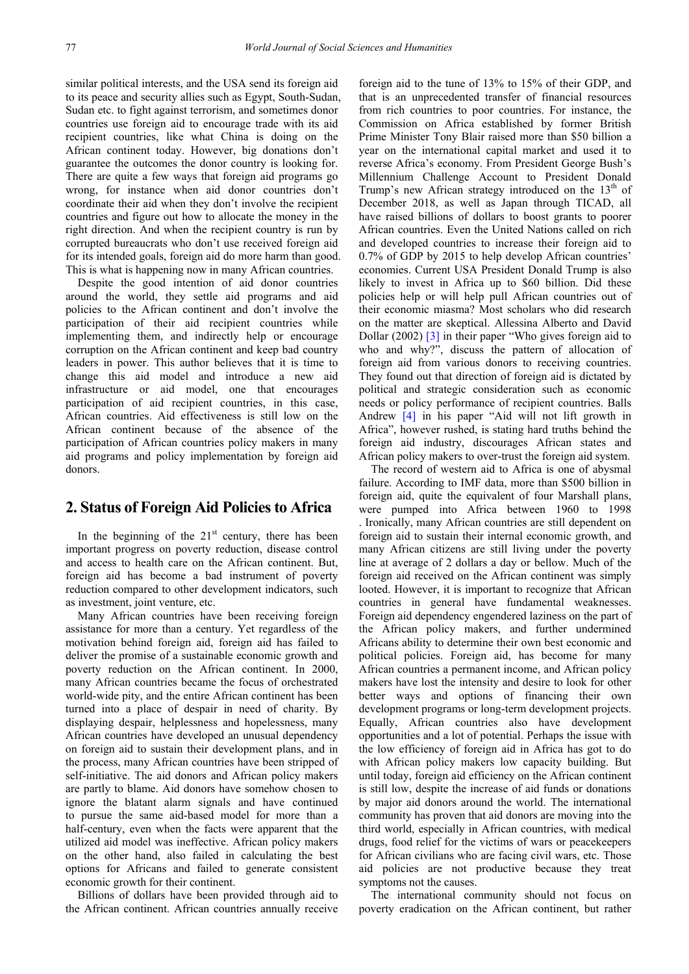similar political interests, and the USA send its foreign aid to its peace and security allies such as Egypt, South-Sudan, Sudan etc. to fight against terrorism, and sometimes donor countries use foreign aid to encourage trade with its aid recipient countries, like what China is doing on the African continent today. However, big donations don't guarantee the outcomes the donor country is looking for. There are quite a few ways that foreign aid programs go wrong, for instance when aid donor countries don't coordinate their aid when they don't involve the recipient countries and figure out how to allocate the money in the right direction. And when the recipient country is run by corrupted bureaucrats who don't use received foreign aid for its intended goals, foreign aid do more harm than good. This is what is happening now in many African countries.

Despite the good intention of aid donor countries around the world, they settle aid programs and aid policies to the African continent and don't involve the participation of their aid recipient countries while implementing them, and indirectly help or encourage corruption on the African continent and keep bad country leaders in power. This author believes that it is time to change this aid model and introduce a new aid infrastructure or aid model, one that encourages participation of aid recipient countries, in this case, African countries. Aid effectiveness is still low on the African continent because of the absence of the participation of African countries policy makers in many aid programs and policy implementation by foreign aid donors.

### **2. Status of Foreign Aid Policies to Africa**

In the beginning of the  $21<sup>st</sup>$  century, there has been important progress on poverty reduction, disease control and access to health care on the African continent. But, foreign aid has become a bad instrument of poverty reduction compared to other development indicators, such as investment, joint venture, etc.

Many African countries have been receiving foreign assistance for more than a century. Yet regardless of the motivation behind foreign aid, foreign aid has failed to deliver the promise of a sustainable economic growth and poverty reduction on the African continent. In 2000, many African countries became the focus of orchestrated world-wide pity, and the entire African continent has been turned into a place of despair in need of charity. By displaying despair, helplessness and hopelessness, many African countries have developed an unusual dependency on foreign aid to sustain their development plans, and in the process, many African countries have been stripped of self-initiative. The aid donors and African policy makers are partly to blame. Aid donors have somehow chosen to ignore the blatant alarm signals and have continued to pursue the same aid-based model for more than a half-century, even when the facts were apparent that the utilized aid model was ineffective. African policy makers on the other hand, also failed in calculating the best options for Africans and failed to generate consistent economic growth for their continent.

Billions of dollars have been provided through aid to the African continent. African countries annually receive foreign aid to the tune of 13% to 15% of their GDP, and that is an unprecedented transfer of financial resources from rich countries to poor countries. For instance, the Commission on Africa established by former British Prime Minister Tony Blair raised more than \$50 billion a year on the international capital market and used it to reverse Africa's economy. From President George Bush's Millennium Challenge Account to President Donald Trump's new African strategy introduced on the  $13<sup>th</sup>$  of December 2018, as well as Japan through TICAD, all have raised billions of dollars to boost grants to poorer African countries. Even the United Nations called on rich and developed countries to increase their foreign aid to 0.7% of GDP by 2015 to help develop African countries' economies. Current USA President Donald Trump is also likely to invest in Africa up to \$60 billion. Did these policies help or will help pull African countries out of their economic miasma? Most scholars who did research on the matter are skeptical. Allessina Alberto and David Dollar (2002) [\[3\]](#page-6-2) in their paper "Who gives foreign aid to who and why?", discuss the pattern of allocation of foreign aid from various donors to receiving countries. They found out that direction of foreign aid is dictated by political and strategic consideration such as economic needs or policy performance of recipient countries. Balls Andrew [\[4\]](#page-6-3) in his paper "Aid will not lift growth in Africa", however rushed, is stating hard truths behind the foreign aid industry, discourages African states and African policy makers to over-trust the foreign aid system.

The record of western aid to Africa is one of abysmal failure. According to IMF data, more than \$500 billion in foreign aid, quite the equivalent of four Marshall plans, were pumped into Africa between 1960 to 1998 . Ironically, many African countries are still dependent on foreign aid to sustain their internal economic growth, and many African citizens are still living under the poverty line at average of 2 dollars a day or bellow. Much of the foreign aid received on the African continent was simply looted. However, it is important to recognize that African countries in general have fundamental weaknesses. Foreign aid dependency engendered laziness on the part of the African policy makers, and further undermined Africans ability to determine their own best economic and political policies. Foreign aid, has become for many African countries a permanent income, and African policy makers have lost the intensity and desire to look for other better ways and options of financing their own development programs or long-term development projects. Equally, African countries also have development opportunities and a lot of potential. Perhaps the issue with the low efficiency of foreign aid in Africa has got to do with African policy makers low capacity building. But until today, foreign aid efficiency on the African continent is still low, despite the increase of aid funds or donations by major aid donors around the world. The international community has proven that aid donors are moving into the third world, especially in African countries, with medical drugs, food relief for the victims of wars or peacekeepers for African civilians who are facing civil wars, etc. Those aid policies are not productive because they treat symptoms not the causes.

The international community should not focus on poverty eradication on the African continent, but rather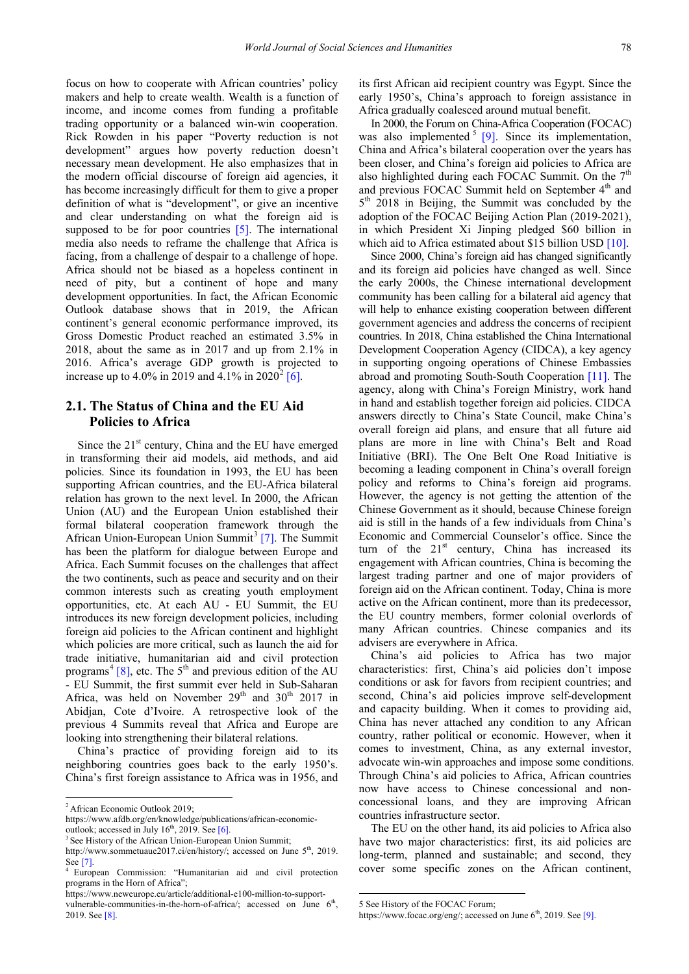focus on how to cooperate with African countries' policy makers and help to create wealth. Wealth is a function of income, and income comes from funding a profitable trading opportunity or a balanced win-win cooperation. Rick Rowden in his paper "Poverty reduction is not development" argues how poverty reduction doesn't necessary mean development. He also emphasizes that in the modern official discourse of foreign aid agencies, it has become increasingly difficult for them to give a proper definition of what is "development", or give an incentive and clear understanding on what the foreign aid is supposed to be for poor countries [\[5\].](#page-6-4) The international media also needs to reframe the challenge that Africa is facing, from a challenge of despair to a challenge of hope. Africa should not be biased as a hopeless continent in need of pity, but a continent of hope and many development opportunities. In fact, the African Economic Outlook database shows that in 2019, the African continent's general economic performance improved, its Gross Domestic Product reached an estimated 3.5% in 2018, about the same as in 2017 and up from 2.1% in 2016. Africa's average GDP growth is projected to increase up to 4.0% in [2](#page-2-0)019 and 4.1% in 2020<sup>2</sup> [\[6\].](#page-6-5)

### **2.1. The Status of China and the EU Aid Policies to Africa**

Since the  $21<sup>st</sup>$  century, China and the EU have emerged in transforming their aid models, aid methods, and aid policies. Since its foundation in 1993, the EU has been supporting African countries, and the EU-Africa bilateral relation has grown to the next level. In 2000, the African Union (AU) and the European Union established their formal bilateral cooperation framework through the African Union-European Union Summit<sup>[3](#page-2-0)</sup> [\[7\].](#page-6-6) The Summit has been the platform for dialogue between Europe and Africa. Each Summit focuses on the challenges that affect the two continents, such as peace and security and on their common interests such as creating youth employment opportunities, etc. At each AU - EU Summit, the EU introduces its new foreign development policies, including foreign aid policies to the African continent and highlight which policies are more critical, such as launch the aid for trade initiative, humanitarian aid and civil protection programs<sup>[4](#page-2-0)</sup> [\[8\],](#page-6-7) etc. The 5<sup>th</sup> and previous edition of the AU - EU Summit, the first summit ever held in Sub-Saharan Africa, was held on November  $29<sup>th</sup>$  and  $30<sup>th</sup>$  2017 in Abidjan, Cote d'Ivoire. A retrospective look of the previous 4 Summits reveal that Africa and Europe are looking into strengthening their bilateral relations.

China's practice of providing foreign aid to its neighboring countries goes back to the early 1950's. China's first foreign assistance to Africa was in 1956, and

l

its first African aid recipient country was Egypt. Since the early 1950's, China's approach to foreign assistance in Africa gradually coalesced around mutual benefit.

In 2000, the Forum on China-Africa Cooperation (FOCAC) was also implemented  $5$  [\[9\].](#page-6-8) Since its implementation, China and Africa's bilateral cooperation over the years has been closer, and China's foreign aid policies to Africa are also highlighted during each FOCAC Summit. On the  $7<sup>th</sup>$ and previous FOCAC Summit held on September 4<sup>th</sup> and 5<sup>th</sup> 2018 in Beijing, the Summit was concluded by the adoption of the FOCAC Beijing Action Plan (2019-2021), in which President Xi Jinping pledged \$60 billion in which aid to Africa estimated about \$15 billion USD [\[10\].](#page-7-0)

Since 2000, China's foreign aid has changed significantly and its foreign aid policies have changed as well. Since the early 2000s, the Chinese international development community has been calling for a bilateral aid agency that will help to enhance existing cooperation between different government agencies and address the concerns of recipient countries. In 2018, China established the China International Development Cooperation Agency (CIDCA), a key agency in supporting ongoing operations of Chinese Embassies abroad and promoting South-South Cooperation [\[11\].](#page-7-1) The agency, along with China's Foreign Ministry, work hand in hand and establish together foreign aid policies. CIDCA answers directly to China's State Council, make China's overall foreign aid plans, and ensure that all future aid plans are more in line with China's Belt and Road Initiative (BRI). The One Belt One Road Initiative is becoming a leading component in China's overall foreign policy and reforms to China's foreign aid programs. However, the agency is not getting the attention of the Chinese Government as it should, because Chinese foreign aid is still in the hands of a few individuals from China's Economic and Commercial Counselor's office. Since the turn of the  $21<sup>st</sup>$  century, China has increased its engagement with African countries, China is becoming the largest trading partner and one of major providers of foreign aid on the African continent. Today, China is more active on the African continent, more than its predecessor, the EU country members, former colonial overlords of many African countries. Chinese companies and its advisers are everywhere in Africa.

China's aid policies to Africa has two major characteristics: first, China's aid policies don't impose conditions or ask for favors from recipient countries; and second, China's aid policies improve self-development and capacity building. When it comes to providing aid, China has never attached any condition to any African country, rather political or economic. However, when it comes to investment, China, as any external investor, advocate win-win approaches and impose some conditions. Through China's aid policies to Africa, African countries now have access to Chinese concessional and nonconcessional loans, and they are improving African countries infrastructure sector.

The EU on the other hand, its aid policies to Africa also have two major characteristics: first, its aid policies are long-term, planned and sustainable; and second, they cover some specific zones on the African continent,

<u>.</u>

<span id="page-2-0"></span><sup>&</sup>lt;sup>2</sup> African Economic Outlook 2019;

https://www.afdb.org/en/knowledge/publications/african-economicoutlook; accessed in July  $16<sup>th</sup>$ , 2019. Se[e \[6\].](#page-6-5)

<sup>&</sup>lt;sup>3</sup> See History of the African Union-European Union Summit;

http://www.sommetuaue2017.ci/en/history/; accessed on June 5<sup>th</sup>, 2019. Se[e \[7\].](#page-6-6) 4 European Commission: "Humanitarian aid and civil protection

programs in the Horn of Africa";

<span id="page-2-1"></span>https://www.neweurope.eu/article/additional-e100-million-to-supportvulnerable-communities-in-the-horn-of-africa/; accessed on June  $6<sup>th</sup>$ , 2019. Se[e \[8\].](#page-6-7)

<sup>5</sup> See History of the FOCAC Forum;

https://www.focac.org/eng/; accessed on June 6<sup>th</sup>, 2019. Se[e \[9\].](#page-6-8)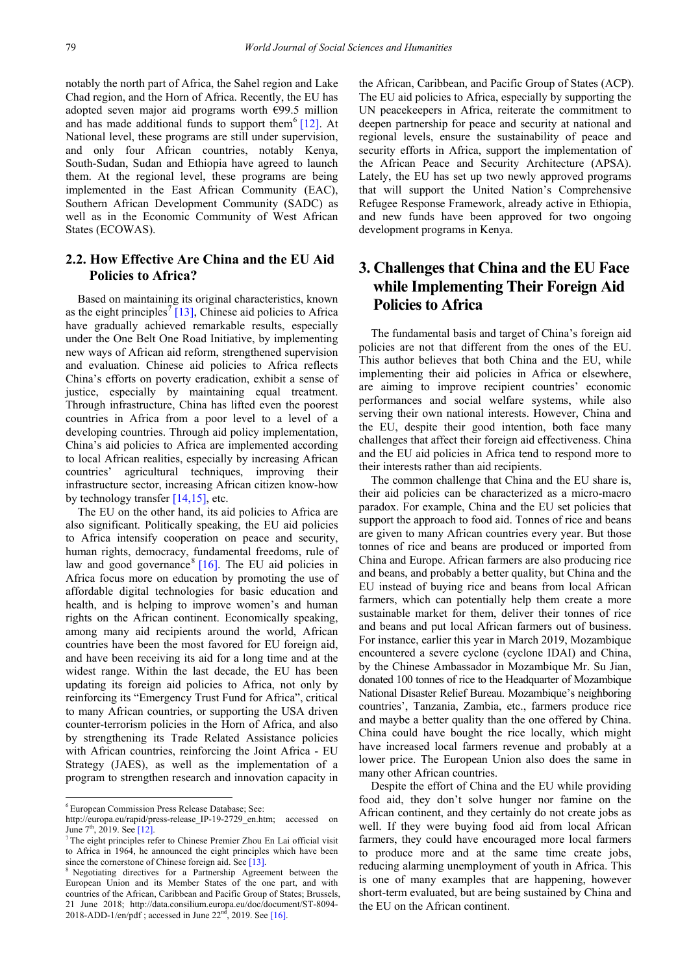notably the north part of Africa, the Sahel region and Lake Chad region, and the Horn of Africa. Recently, the EU has adopted seven major aid programs worth  $\epsilon$ 99.5 million and has made additional funds to support them<sup>[6](#page-3-0)</sup> [\[12\].](#page-7-2) At National level, these programs are still under supervision, and only four African countries, notably Kenya, South-Sudan, Sudan and Ethiopia have agreed to launch them. At the regional level, these programs are being implemented in the East African Community (EAC), Southern African Development Community (SADC) as well as in the Economic Community of West African States (ECOWAS).

## **2.2. How Effective Are China and the EU Aid Policies to Africa?**

Based on maintaining its original characteristics, known as the eight principles<sup>[7](#page-3-0)</sup> [\[13\],](#page-7-3) Chinese aid policies to Africa have gradually achieved remarkable results, especially under the One Belt One Road Initiative, by implementing new ways of African aid reform, strengthened supervision and evaluation. Chinese aid policies to Africa reflects China's efforts on poverty eradication, exhibit a sense of justice, especially by maintaining equal treatment. Through infrastructure, China has lifted even the poorest countries in Africa from a poor level to a level of a developing countries. Through aid policy implementation, China's aid policies to Africa are implemented according to local African realities, especially by increasing African countries' agricultural techniques, improving their infrastructure sector, increasing African citizen know-how by technology transfer [\[14,15\],](#page-7-4) etc.

The EU on the other hand, its aid policies to Africa are also significant. Politically speaking, the EU aid policies to Africa intensify cooperation on peace and security, human rights, democracy, fundamental freedoms, rule of law and good governance  $[16]$ . The EU aid policies in Africa focus more on education by promoting the use of affordable digital technologies for basic education and health, and is helping to improve women's and human rights on the African continent. Economically speaking, among many aid recipients around the world, African countries have been the most favored for EU foreign aid, and have been receiving its aid for a long time and at the widest range. Within the last decade, the EU has been updating its foreign aid policies to Africa, not only by reinforcing its "Emergency Trust Fund for Africa", critical to many African countries, or supporting the USA driven counter-terrorism policies in the Horn of Africa, and also by strengthening its Trade Related Assistance policies with African countries, reinforcing the Joint Africa - EU Strategy (JAES), as well as the implementation of a program to strengthen research and innovation capacity in

l

the African, Caribbean, and Pacific Group of States (ACP). The EU aid policies to Africa, especially by supporting the UN peacekeepers in Africa, reiterate the commitment to deepen partnership for peace and security at national and regional levels, ensure the sustainability of peace and security efforts in Africa, support the implementation of the African Peace and Security Architecture (APSA). Lately, the EU has set up two newly approved programs that will support the United Nation's Comprehensive Refugee Response Framework, already active in Ethiopia, and new funds have been approved for two ongoing development programs in Kenya.

## **3. Challenges that China and the EU Face while Implementing Their Foreign Aid Policies to Africa**

The fundamental basis and target of China's foreign aid policies are not that different from the ones of the EU. This author believes that both China and the EU, while implementing their aid policies in Africa or elsewhere, are aiming to improve recipient countries' economic performances and social welfare systems, while also serving their own national interests. However, China and the EU, despite their good intention, both face many challenges that affect their foreign aid effectiveness. China and the EU aid policies in Africa tend to respond more to their interests rather than aid recipients.

The common challenge that China and the EU share is, their aid policies can be characterized as a micro-macro paradox. For example, China and the EU set policies that support the approach to food aid. Tonnes of rice and beans are given to many African countries every year. But those tonnes of rice and beans are produced or imported from China and Europe. African farmers are also producing rice and beans, and probably a better quality, but China and the EU instead of buying rice and beans from local African farmers, which can potentially help them create a more sustainable market for them, deliver their tonnes of rice and beans and put local African farmers out of business. For instance, earlier this year in March 2019, Mozambique encountered a severe cyclone (cyclone IDAI) and China, by the Chinese Ambassador in Mozambique Mr. Su Jian, donated 100 tonnes of rice to the Headquarter of Mozambique National Disaster Relief Bureau. Mozambique's neighboring countries', Tanzania, Zambia, etc., farmers produce rice and maybe a better quality than the one offered by China. China could have bought the rice locally, which might have increased local farmers revenue and probably at a lower price. The European Union also does the same in many other African countries.

Despite the effort of China and the EU while providing food aid, they don't solve hunger nor famine on the African continent, and they certainly do not create jobs as well. If they were buying food aid from local African farmers, they could have encouraged more local farmers to produce more and at the same time create jobs, reducing alarming unemployment of youth in Africa. This is one of many examples that are happening, however short-term evaluated, but are being sustained by China and the EU on the African continent.

<span id="page-3-0"></span><sup>6</sup> European Commission Press Release Database; See:

http://europa.eu/rapid/press-release\_IP-19-2729\_en.htm; accessed on June 7<sup>th</sup>, 2019. See [\[12\].](#page-7-2)

<sup>7</sup> The eight principles refer to Chinese Premier Zhou En Lai official visit to Africa in 1964, he announced the eight principles which have been since the cornerstone of Chinese foreign aid. Se[e \[13\].](#page-7-3)

Negotiating directives for a Partnership Agreement between the European Union and its Member States of the one part, and with countries of the African, Caribbean and Pacific Group of States; Brussels, 21 June 2018; http://data.consilium.europa.eu/doc/document/ST-8094- 2018-ADD-1/en/pdf; accessed in June  $22<sup>nd</sup>$ , 2019. Se[e \[16\].](#page-7-5)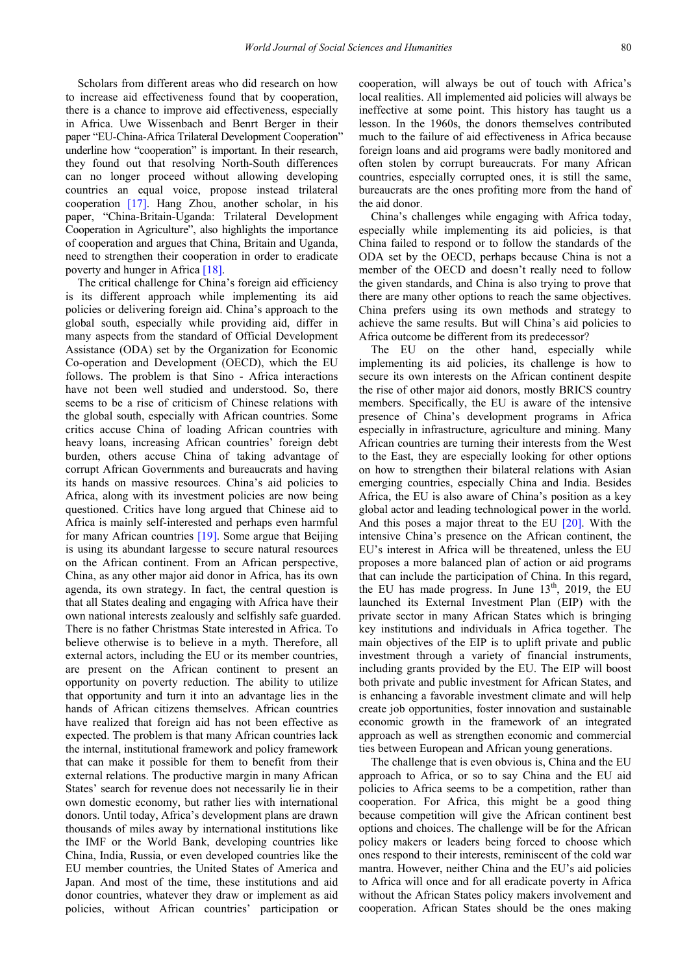Scholars from different areas who did research on how to increase aid effectiveness found that by cooperation, there is a chance to improve aid effectiveness, especially in Africa. Uwe Wissenbach and Benrt Berger in their paper "EU-China-Africa Trilateral Development Cooperation" underline how "cooperation" is important. In their research, they found out that resolving North-South differences can no longer proceed without allowing developing countries an equal voice, propose instead trilateral cooperation [\[17\].](#page-7-6) Hang Zhou, another scholar, in his paper, "China-Britain-Uganda: Trilateral Development Cooperation in Agriculture", also highlights the importance of cooperation and argues that China, Britain and Uganda, need to strengthen their cooperation in order to eradicate poverty and hunger in Africa [\[18\].](#page-7-7)

The critical challenge for China's foreign aid efficiency is its different approach while implementing its aid policies or delivering foreign aid. China's approach to the global south, especially while providing aid, differ in many aspects from the standard of Official Development Assistance (ODA) set by the Organization for Economic Co-operation and Development (OECD), which the EU follows. The problem is that Sino - Africa interactions have not been well studied and understood. So, there seems to be a rise of criticism of Chinese relations with the global south, especially with African countries. Some critics accuse China of loading African countries with heavy loans, increasing African countries' foreign debt burden, others accuse China of taking advantage of corrupt African Governments and bureaucrats and having its hands on massive resources. China's aid policies to Africa, along with its investment policies are now being questioned. Critics have long argued that Chinese aid to Africa is mainly self-interested and perhaps even harmful for many African countries [\[19\].](#page-7-8) Some argue that Beijing is using its abundant largesse to secure natural resources on the African continent. From an African perspective, China, as any other major aid donor in Africa, has its own agenda, its own strategy. In fact, the central question is that all States dealing and engaging with Africa have their own national interests zealously and selfishly safe guarded. There is no father Christmas State interested in Africa. To believe otherwise is to believe in a myth. Therefore, all external actors, including the EU or its member countries, are present on the African continent to present an opportunity on poverty reduction. The ability to utilize that opportunity and turn it into an advantage lies in the hands of African citizens themselves. African countries have realized that foreign aid has not been effective as expected. The problem is that many African countries lack the internal, institutional framework and policy framework that can make it possible for them to benefit from their external relations. The productive margin in many African States' search for revenue does not necessarily lie in their own domestic economy, but rather lies with international donors. Until today, Africa's development plans are drawn thousands of miles away by international institutions like the IMF or the World Bank, developing countries like China, India, Russia, or even developed countries like the EU member countries, the United States of America and Japan. And most of the time, these institutions and aid donor countries, whatever they draw or implement as aid policies, without African countries' participation or

cooperation, will always be out of touch with Africa's local realities. All implemented aid policies will always be ineffective at some point. This history has taught us a lesson. In the 1960s, the donors themselves contributed much to the failure of aid effectiveness in Africa because foreign loans and aid programs were badly monitored and often stolen by corrupt bureaucrats. For many African countries, especially corrupted ones, it is still the same, bureaucrats are the ones profiting more from the hand of the aid donor.

China's challenges while engaging with Africa today, especially while implementing its aid policies, is that China failed to respond or to follow the standards of the ODA set by the OECD, perhaps because China is not a member of the OECD and doesn't really need to follow the given standards, and China is also trying to prove that there are many other options to reach the same objectives. China prefers using its own methods and strategy to achieve the same results. But will China's aid policies to Africa outcome be different from its predecessor?

The EU on the other hand, especially while implementing its aid policies, its challenge is how to secure its own interests on the African continent despite the rise of other major aid donors, mostly BRICS country members. Specifically, the EU is aware of the intensive presence of China's development programs in Africa especially in infrastructure, agriculture and mining. Many African countries are turning their interests from the West to the East, they are especially looking for other options on how to strengthen their bilateral relations with Asian emerging countries, especially China and India. Besides Africa, the EU is also aware of China's position as a key global actor and leading technological power in the world. And this poses a major threat to the EU  $[20]$ . With the intensive China's presence on the African continent, the EU's interest in Africa will be threatened, unless the EU proposes a more balanced plan of action or aid programs that can include the participation of China. In this regard, the EU has made progress. In June  $13<sup>th</sup>$ , 2019, the EU launched its External Investment Plan (EIP) with the private sector in many African States which is bringing key institutions and individuals in Africa together. The main objectives of the EIP is to uplift private and public investment through a variety of financial instruments, including grants provided by the EU. The EIP will boost both private and public investment for African States, and is enhancing a favorable investment climate and will help create job opportunities, foster innovation and sustainable economic growth in the framework of an integrated approach as well as strengthen economic and commercial ties between European and African young generations.

The challenge that is even obvious is, China and the EU approach to Africa, or so to say China and the EU aid policies to Africa seems to be a competition, rather than cooperation. For Africa, this might be a good thing because competition will give the African continent best options and choices. The challenge will be for the African policy makers or leaders being forced to choose which ones respond to their interests, reminiscent of the cold war mantra. However, neither China and the EU's aid policies to Africa will once and for all eradicate poverty in Africa without the African States policy makers involvement and cooperation. African States should be the ones making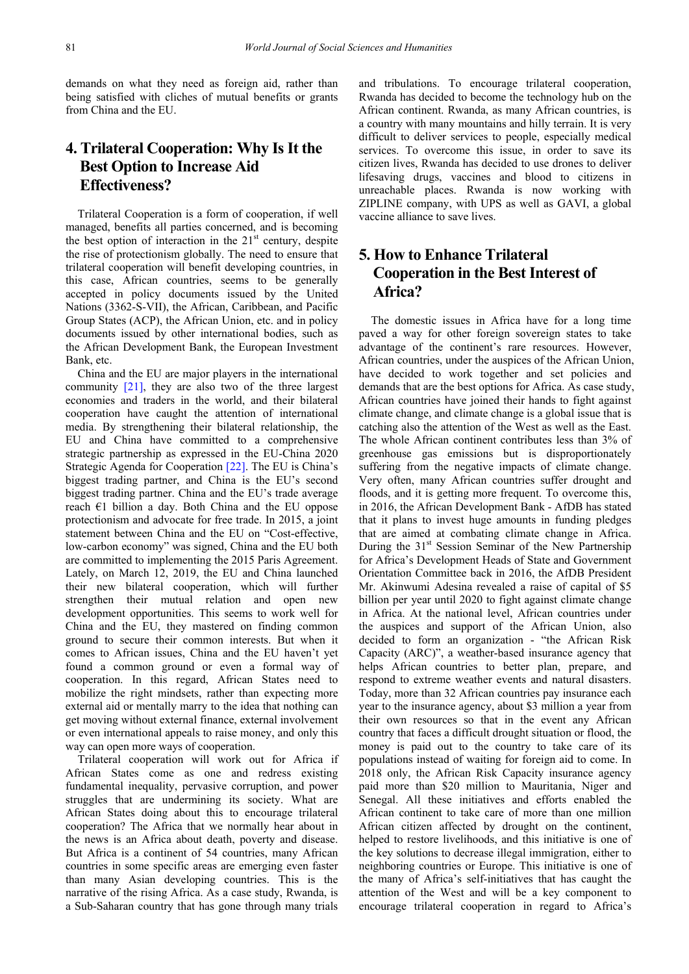demands on what they need as foreign aid, rather than being satisfied with cliches of mutual benefits or grants from China and the EU.

# **4. Trilateral Cooperation: Why Is It the Best Option to Increase Aid Effectiveness?**

Trilateral Cooperation is a form of cooperation, if well managed, benefits all parties concerned, and is becoming the best option of interaction in the  $21<sup>st</sup>$  century, despite the rise of protectionism globally. The need to ensure that trilateral cooperation will benefit developing countries, in this case, African countries, seems to be generally accepted in policy documents issued by the United Nations (3362-S-VII), the African, Caribbean, and Pacific Group States (ACP), the African Union, etc. and in policy documents issued by other international bodies, such as the African Development Bank, the European Investment Bank, etc.

China and the EU are major players in the international community [\[21\],](#page-7-10) they are also two of the three largest economies and traders in the world, and their bilateral cooperation have caught the attention of international media. By strengthening their bilateral relationship, the EU and China have committed to a comprehensive strategic partnership as expressed in the EU-China 2020 Strategic Agenda for Cooperation [\[22\].](#page-7-11) The EU is China's biggest trading partner, and China is the EU's second biggest trading partner. China and the EU's trade average reach  $\epsilon$ 1 billion a day. Both China and the EU oppose protectionism and advocate for free trade. In 2015, a joint statement between China and the EU on "Cost-effective, low-carbon economy" was signed, China and the EU both are committed to implementing the 2015 Paris Agreement. Lately, on March 12, 2019, the EU and China launched their new bilateral cooperation, which will further strengthen their mutual relation and open new development opportunities. This seems to work well for China and the EU, they mastered on finding common ground to secure their common interests. But when it comes to African issues, China and the EU haven't yet found a common ground or even a formal way of cooperation. In this regard, African States need to mobilize the right mindsets, rather than expecting more external aid or mentally marry to the idea that nothing can get moving without external finance, external involvement or even international appeals to raise money, and only this way can open more ways of cooperation.

Trilateral cooperation will work out for Africa if African States come as one and redress existing fundamental inequality, pervasive corruption, and power struggles that are undermining its society. What are African States doing about this to encourage trilateral cooperation? The Africa that we normally hear about in the news is an Africa about death, poverty and disease. But Africa is a continent of 54 countries, many African countries in some specific areas are emerging even faster than many Asian developing countries. This is the narrative of the rising Africa. As a case study, Rwanda, is a Sub-Saharan country that has gone through many trials and tribulations. To encourage trilateral cooperation, Rwanda has decided to become the technology hub on the African continent. Rwanda, as many African countries, is a country with many mountains and hilly terrain. It is very difficult to deliver services to people, especially medical services. To overcome this issue, in order to save its citizen lives, Rwanda has decided to use drones to deliver lifesaving drugs, vaccines and blood to citizens in unreachable places. Rwanda is now working with ZIPLINE company, with UPS as well as GAVI, a global vaccine alliance to save lives.

# **5. How to Enhance Trilateral Cooperation in the Best Interest of Africa?**

The domestic issues in Africa have for a long time paved a way for other foreign sovereign states to take advantage of the continent's rare resources. However, African countries, under the auspices of the African Union, have decided to work together and set policies and demands that are the best options for Africa. As case study, African countries have joined their hands to fight against climate change, and climate change is a global issue that is catching also the attention of the West as well as the East. The whole African continent contributes less than 3% of greenhouse gas emissions but is disproportionately suffering from the negative impacts of climate change. Very often, many African countries suffer drought and floods, and it is getting more frequent. To overcome this, in 2016, the African Development Bank - AfDB has stated that it plans to invest huge amounts in funding pledges that are aimed at combating climate change in Africa. During the  $31<sup>st</sup>$  Session Seminar of the New Partnership for Africa's Development Heads of State and Government Orientation Committee back in 2016, the AfDB President Mr. Akinwumi Adesina revealed a raise of capital of \$5 billion per year until 2020 to fight against climate change in Africa. At the national level, African countries under the auspices and support of the African Union, also decided to form an organization - "the African Risk Capacity (ARC)", a weather-based insurance agency that helps African countries to better plan, prepare, and respond to extreme weather events and natural disasters. Today, more than 32 African countries pay insurance each year to the insurance agency, about \$3 million a year from their own resources so that in the event any African country that faces a difficult drought situation or flood, the money is paid out to the country to take care of its populations instead of waiting for foreign aid to come. In 2018 only, the African Risk Capacity insurance agency paid more than \$20 million to Mauritania, Niger and Senegal. All these initiatives and efforts enabled the African continent to take care of more than one million African citizen affected by drought on the continent, helped to restore livelihoods, and this initiative is one of the key solutions to decrease illegal immigration, either to neighboring countries or Europe. This initiative is one of the many of Africa's self-initiatives that has caught the attention of the West and will be a key component to encourage trilateral cooperation in regard to Africa's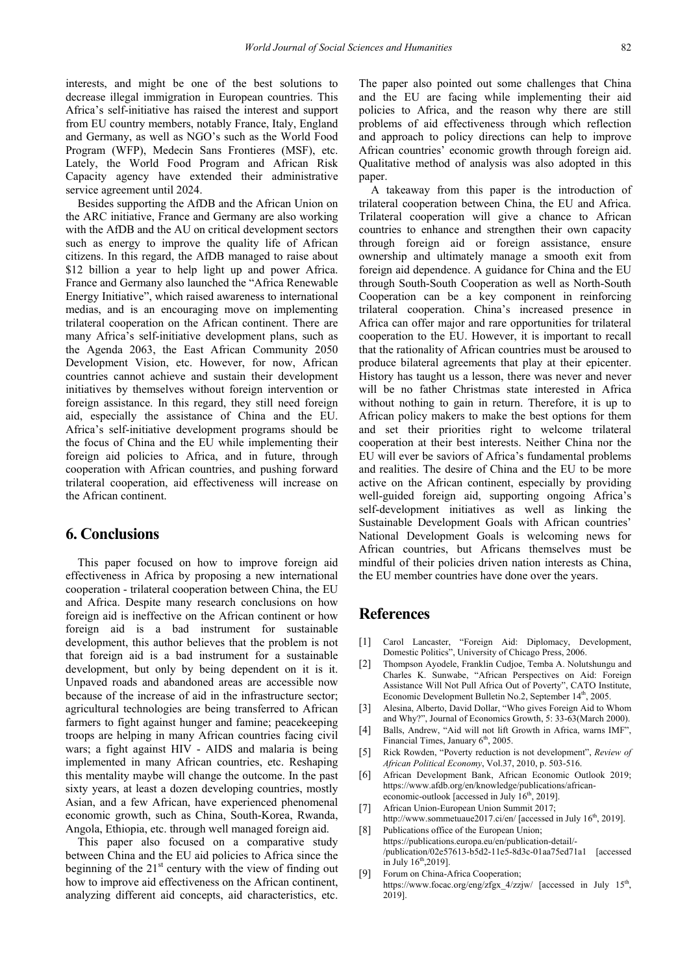interests, and might be one of the best solutions to decrease illegal immigration in European countries. This Africa's self-initiative has raised the interest and support from EU country members, notably France, Italy, England and Germany, as well as NGO's such as the World Food Program (WFP), Medecin Sans Frontieres (MSF), etc. Lately, the World Food Program and African Risk Capacity agency have extended their administrative service agreement until 2024.

Besides supporting the AfDB and the African Union on the ARC initiative, France and Germany are also working with the AfDB and the AU on critical development sectors such as energy to improve the quality life of African citizens. In this regard, the AfDB managed to raise about \$12 billion a year to help light up and power Africa. France and Germany also launched the "Africa Renewable Energy Initiative", which raised awareness to international medias, and is an encouraging move on implementing trilateral cooperation on the African continent. There are many Africa's self-initiative development plans, such as the Agenda 2063, the East African Community 2050 Development Vision, etc. However, for now, African countries cannot achieve and sustain their development initiatives by themselves without foreign intervention or foreign assistance. In this regard, they still need foreign aid, especially the assistance of China and the EU. Africa's self-initiative development programs should be the focus of China and the EU while implementing their foreign aid policies to Africa, and in future, through cooperation with African countries, and pushing forward trilateral cooperation, aid effectiveness will increase on the African continent.

#### **6. Conclusions**

This paper focused on how to improve foreign aid effectiveness in Africa by proposing a new international cooperation - trilateral cooperation between China, the EU and Africa. Despite many research conclusions on how foreign aid is ineffective on the African continent or how foreign aid is a bad instrument for sustainable development, this author believes that the problem is not that foreign aid is a bad instrument for a sustainable development, but only by being dependent on it is it. Unpaved roads and abandoned areas are accessible now because of the increase of aid in the infrastructure sector; agricultural technologies are being transferred to African farmers to fight against hunger and famine; peacekeeping troops are helping in many African countries facing civil wars; a fight against HIV - AIDS and malaria is being implemented in many African countries, etc. Reshaping this mentality maybe will change the outcome. In the past sixty years, at least a dozen developing countries, mostly Asian, and a few African, have experienced phenomenal economic growth, such as China, South-Korea, Rwanda, Angola, Ethiopia, etc. through well managed foreign aid.

This paper also focused on a comparative study between China and the EU aid policies to Africa since the beginning of the  $21<sup>st</sup>$  century with the view of finding out how to improve aid effectiveness on the African continent, analyzing different aid concepts, aid characteristics, etc.

The paper also pointed out some challenges that China and the EU are facing while implementing their aid policies to Africa, and the reason why there are still problems of aid effectiveness through which reflection and approach to policy directions can help to improve African countries' economic growth through foreign aid. Qualitative method of analysis was also adopted in this paper.

A takeaway from this paper is the introduction of trilateral cooperation between China, the EU and Africa. Trilateral cooperation will give a chance to African countries to enhance and strengthen their own capacity through foreign aid or foreign assistance, ensure ownership and ultimately manage a smooth exit from foreign aid dependence. A guidance for China and the EU through South-South Cooperation as well as North-South Cooperation can be a key component in reinforcing trilateral cooperation. China's increased presence in Africa can offer major and rare opportunities for trilateral cooperation to the EU. However, it is important to recall that the rationality of African countries must be aroused to produce bilateral agreements that play at their epicenter. History has taught us a lesson, there was never and never will be no father Christmas state interested in Africa without nothing to gain in return. Therefore, it is up to African policy makers to make the best options for them and set their priorities right to welcome trilateral cooperation at their best interests. Neither China nor the EU will ever be saviors of Africa's fundamental problems and realities. The desire of China and the EU to be more active on the African continent, especially by providing well-guided foreign aid, supporting ongoing Africa's self-development initiatives as well as linking the Sustainable Development Goals with African countries' National Development Goals is welcoming news for African countries, but Africans themselves must be mindful of their policies driven nation interests as China, the EU member countries have done over the years.

## **References**

- <span id="page-6-0"></span>[1] Carol Lancaster, "Foreign Aid: Diplomacy, Development, Domestic Politics", University of Chicago Press, 2006.
- <span id="page-6-1"></span>[2] Thompson Ayodele, Franklin Cudjoe, Temba A. Nolutshungu and Charles K. Sunwabe, "African Perspectives on Aid: Foreign Assistance Will Not Pull Africa Out of Poverty", CATO Institute, Economic Development Bulletin No.2, September 14<sup>th</sup>, 2005.
- <span id="page-6-2"></span>[3] Alesina, Alberto, David Dollar, "Who gives Foreign Aid to Whom and Why?", Journal of Economics Growth, 5: 33-63(March 2000).
- <span id="page-6-3"></span>[4] Balls, Andrew, "Aid will not lift Growth in Africa, warns IMF", Financial Times, January 6<sup>th</sup>, 2005.
- <span id="page-6-4"></span>[5] Rick Rowden, "Poverty reduction is not development", *Review of African Political Economy*, Vol.37, 2010, p. 503-516.
- <span id="page-6-5"></span>[6] African Development Bank, African Economic Outlook 2019; https://www.afdb.org/en/knowledge/publications/africaneconomic-outlook [accessed in July  $16^{th}$ , 2019].
- <span id="page-6-6"></span>[7] African Union-European Union Summit 2017;
- <span id="page-6-7"></span>http://www.sommetuaue2017.ci/en/ [accessed in July 16<sup>th</sup>, 2019]. [8] Publications office of the European Union; https://publications.europa.eu/en/publication-detail/-
- /publication/02e57613-b5d2-11e5-8d3c-01aa75ed71a1 [accessed in July  $16^{th}$ ,2019]. [9] Forum on China-Africa Cooperation:
- <span id="page-6-8"></span>https://www.focac.org/eng/zfgx\_4/zzjw/ [accessed in July 15<sup>th</sup>, 2019].